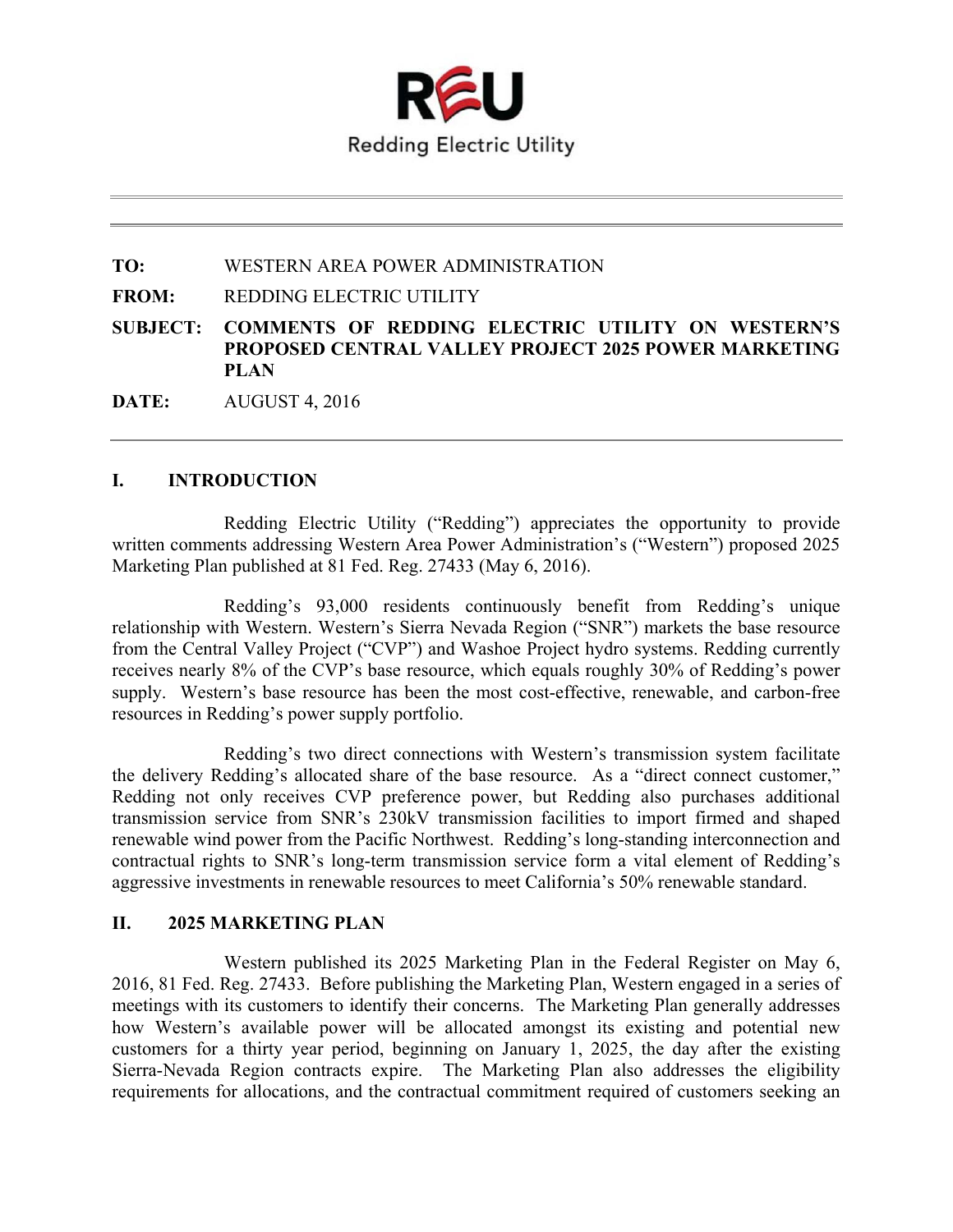

**TO:** WESTERN AREA POWER ADMINISTRATION

**FROM:** REDDING ELECTRIC UTILITY

**SUBJECT: COMMENTS OF REDDING ELECTRIC UTILITY ON WESTERN'S PROPOSED CENTRAL VALLEY PROJECT 2025 POWER MARKETING PLAN** 

**DATE:** AUGUST 4, 2016

## **I. INTRODUCTION**

Redding Electric Utility ("Redding") appreciates the opportunity to provide written comments addressing Western Area Power Administration's ("Western") proposed 2025 Marketing Plan published at 81 Fed. Reg. 27433 (May 6, 2016).

Redding's 93,000 residents continuously benefit from Redding's unique relationship with Western. Western's Sierra Nevada Region ("SNR") markets the base resource from the Central Valley Project ("CVP") and Washoe Project hydro systems. Redding currently receives nearly 8% of the CVP's base resource, which equals roughly 30% of Redding's power supply. Western's base resource has been the most cost-effective, renewable, and carbon-free resources in Redding's power supply portfolio.

Redding's two direct connections with Western's transmission system facilitate the delivery Redding's allocated share of the base resource. As a "direct connect customer," Redding not only receives CVP preference power, but Redding also purchases additional transmission service from SNR's 230kV transmission facilities to import firmed and shaped renewable wind power from the Pacific Northwest. Redding's long-standing interconnection and contractual rights to SNR's long-term transmission service form a vital element of Redding's aggressive investments in renewable resources to meet California's 50% renewable standard.

## **II. 2025 MARKETING PLAN**

Western published its 2025 Marketing Plan in the Federal Register on May 6, 2016, 81 Fed. Reg. 27433. Before publishing the Marketing Plan, Western engaged in a series of meetings with its customers to identify their concerns. The Marketing Plan generally addresses how Western's available power will be allocated amongst its existing and potential new customers for a thirty year period, beginning on January 1, 2025, the day after the existing Sierra-Nevada Region contracts expire. The Marketing Plan also addresses the eligibility requirements for allocations, and the contractual commitment required of customers seeking an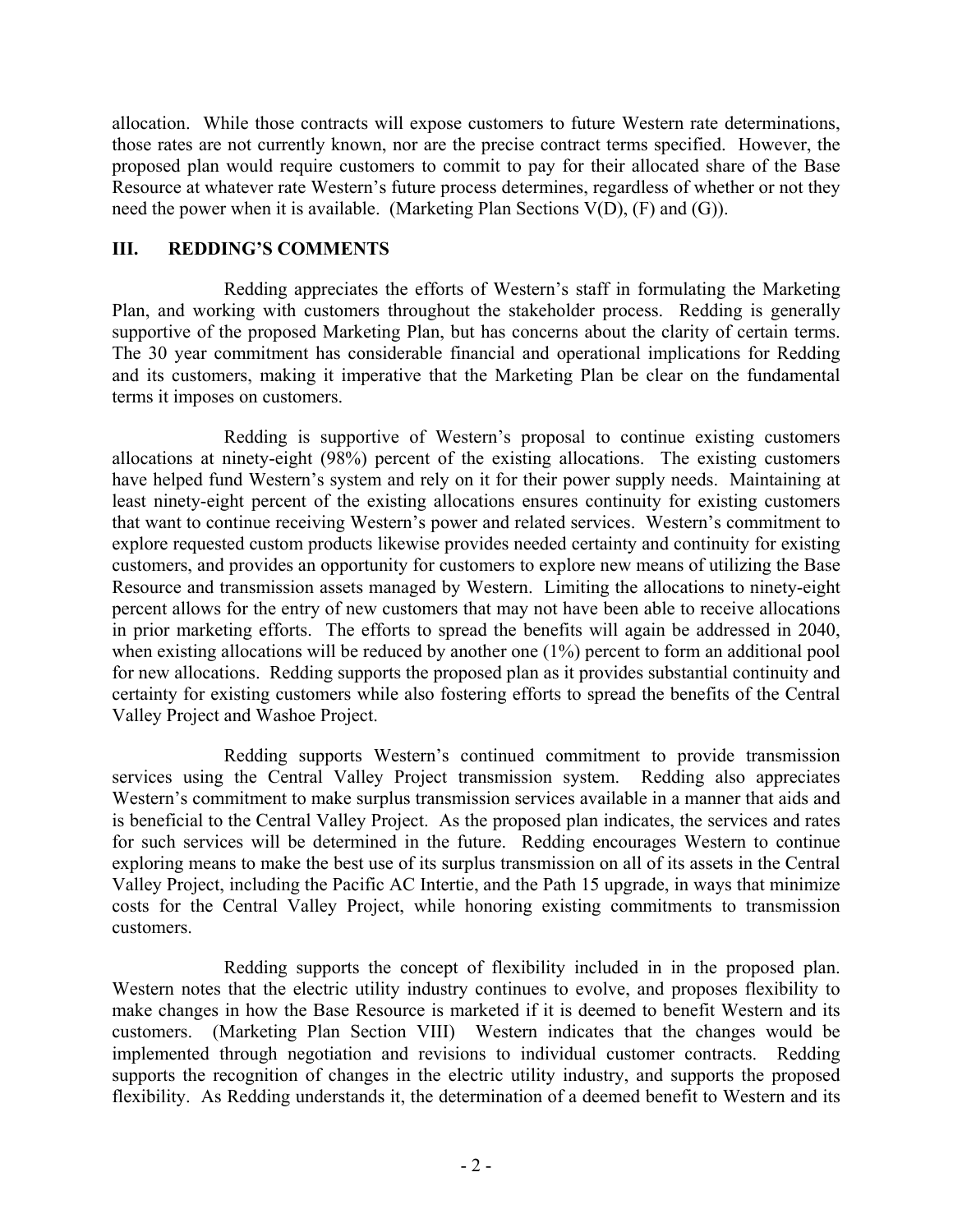allocation. While those contracts will expose customers to future Western rate determinations, those rates are not currently known, nor are the precise contract terms specified. However, the proposed plan would require customers to commit to pay for their allocated share of the Base Resource at whatever rate Western's future process determines, regardless of whether or not they need the power when it is available. (Marketing Plan Sections V(D), (F) and (G)).

## **III. REDDING'S COMMENTS**

Redding appreciates the efforts of Western's staff in formulating the Marketing Plan, and working with customers throughout the stakeholder process. Redding is generally supportive of the proposed Marketing Plan, but has concerns about the clarity of certain terms. The 30 year commitment has considerable financial and operational implications for Redding and its customers, making it imperative that the Marketing Plan be clear on the fundamental terms it imposes on customers.

Redding is supportive of Western's proposal to continue existing customers allocations at ninety-eight (98%) percent of the existing allocations. The existing customers have helped fund Western's system and rely on it for their power supply needs. Maintaining at least ninety-eight percent of the existing allocations ensures continuity for existing customers that want to continue receiving Western's power and related services. Western's commitment to explore requested custom products likewise provides needed certainty and continuity for existing customers, and provides an opportunity for customers to explore new means of utilizing the Base Resource and transmission assets managed by Western. Limiting the allocations to ninety-eight percent allows for the entry of new customers that may not have been able to receive allocations in prior marketing efforts. The efforts to spread the benefits will again be addressed in 2040, when existing allocations will be reduced by another one  $(1%)$  percent to form an additional pool for new allocations. Redding supports the proposed plan as it provides substantial continuity and certainty for existing customers while also fostering efforts to spread the benefits of the Central Valley Project and Washoe Project.

Redding supports Western's continued commitment to provide transmission services using the Central Valley Project transmission system. Redding also appreciates Western's commitment to make surplus transmission services available in a manner that aids and is beneficial to the Central Valley Project. As the proposed plan indicates, the services and rates for such services will be determined in the future. Redding encourages Western to continue exploring means to make the best use of its surplus transmission on all of its assets in the Central Valley Project, including the Pacific AC Intertie, and the Path 15 upgrade, in ways that minimize costs for the Central Valley Project, while honoring existing commitments to transmission customers.

Redding supports the concept of flexibility included in in the proposed plan. Western notes that the electric utility industry continues to evolve, and proposes flexibility to make changes in how the Base Resource is marketed if it is deemed to benefit Western and its customers. (Marketing Plan Section VIII) Western indicates that the changes would be implemented through negotiation and revisions to individual customer contracts. Redding supports the recognition of changes in the electric utility industry, and supports the proposed flexibility. As Redding understands it, the determination of a deemed benefit to Western and its